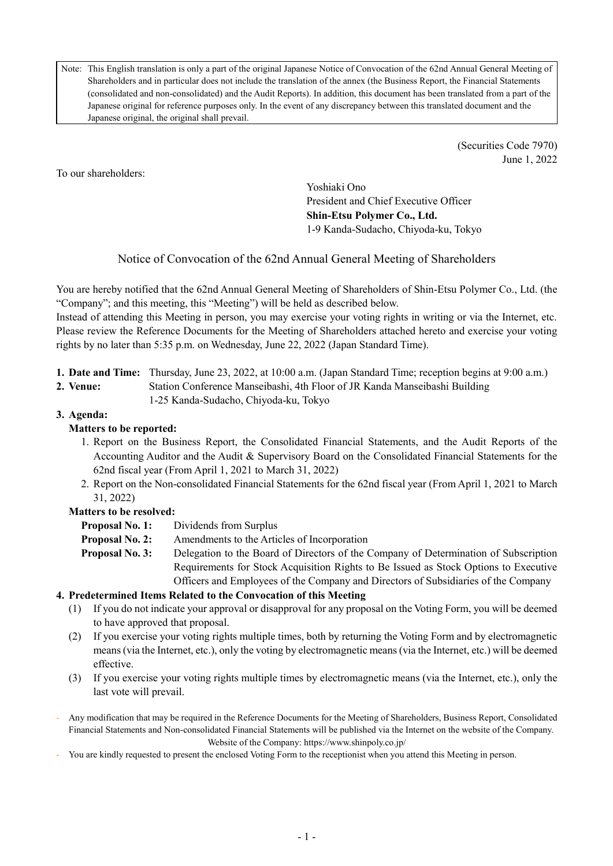Note: This English translation is only a part of the original Japanese Notice of Convocation of the 62nd Annual General Meeting of Shareholders and in particular does not include the translation of the annex (the Business Report, the Financial Statements (consolidated and non-consolidated) and the Audit Reports). In addition, this document has been translated from a part of the Japanese original for reference purposes only. In the event of any discrepancy between this translated document and the Japanese original, the original shall prevail.

> (Securities Code 7970) June 1, 2022

To our shareholders:

Yoshiaki Ono President and Chief Executive Officer **Shin-Etsu Polymer Co., Ltd.** 1-9 Kanda-Sudacho, Chiyoda-ku, Tokyo

Notice of Convocation of the 62nd Annual General Meeting of Shareholders

You are hereby notified that the 62nd Annual General Meeting of Shareholders of Shin-Etsu Polymer Co., Ltd. (the "Company"; and this meeting, this "Meeting") will be held as described below.

Instead of attending this Meeting in person, you may exercise your voting rights in writing or via the Internet, etc. Please review the Reference Documents for the Meeting of Shareholders attached hereto and exercise your voting rights by no later than 5:35 p.m. on Wednesday, June 22, 2022 (Japan Standard Time).

- **1. Date and Time:** Thursday, June 23, 2022, at 10:00 a.m. (Japan Standard Time; reception begins at 9:00 a.m.)
- **2. Venue:** Station Conference Manseibashi, 4th Floor of JR Kanda Manseibashi Building
	- 1-25 Kanda-Sudacho, Chiyoda-ku, Tokyo

# **3. Agenda:**

# **Matters to be reported:**

- 1. Report on the Business Report, the Consolidated Financial Statements, and the Audit Reports of the Accounting Auditor and the Audit & Supervisory Board on the Consolidated Financial Statements for the 62nd fiscal year (From April 1, 2021 to March 31, 2022)
- 2. Report on the Non-consolidated Financial Statements for the 62nd fiscal year (From April 1, 2021 to March 31, 2022)

# **Matters to be resolved:**

**Proposal No. 1:** Dividends from Surplus

- **Proposal No. 2:** Amendments to the Articles of Incorporation
- **Proposal No. 3:** Delegation to the Board of Directors of the Company of Determination of Subscription Requirements for Stock Acquisition Rights to Be Issued as Stock Options to Executive Officers and Employees of the Company and Directors of Subsidiaries of the Company

# **4. Predetermined Items Related to the Convocation of this Meeting**

- (1) If you do not indicate your approval or disapproval for any proposal on the Voting Form, you will be deemed to have approved that proposal.
- (2) If you exercise your voting rights multiple times, both by returning the Voting Form and by electromagnetic means (via the Internet, etc.), only the voting by electromagnetic means (via the Internet, etc.) will be deemed effective.
- (3) If you exercise your voting rights multiple times by electromagnetic means (via the Internet, etc.), only the last vote will prevail.
- Any modification that may be required in the Reference Documents for the Meeting of Shareholders, Business Report, Consolidated Financial Statements and Non-consolidated Financial Statements will be published via the Internet on the website of the Company. Website of the Company: https://www.shinpoly.co.jp/
- You are kindly requested to present the enclosed Voting Form to the receptionist when you attend this Meeting in person.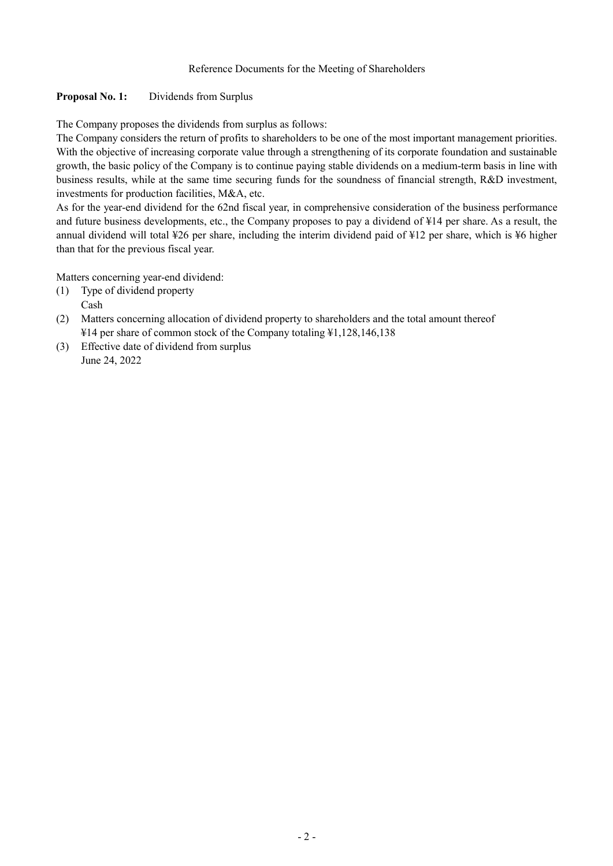#### Reference Documents for the Meeting of Shareholders

### **Proposal No. 1:** Dividends from Surplus

The Company proposes the dividends from surplus as follows:

The Company considers the return of profits to shareholders to be one of the most important management priorities. With the objective of increasing corporate value through a strengthening of its corporate foundation and sustainable growth, the basic policy of the Company is to continue paying stable dividends on a medium-term basis in line with business results, while at the same time securing funds for the soundness of financial strength, R&D investment, investments for production facilities, M&A, etc.

As for the year-end dividend for the 62nd fiscal year, in comprehensive consideration of the business performance and future business developments, etc., the Company proposes to pay a dividend of ¥14 per share. As a result, the annual dividend will total ¥26 per share, including the interim dividend paid of ¥12 per share, which is ¥6 higher than that for the previous fiscal year.

Matters concerning year-end dividend:

- (1) Type of dividend property Cash
- (2) Matters concerning allocation of dividend property to shareholders and the total amount thereof ¥14 per share of common stock of the Company totaling ¥1,128,146,138
- (3) Effective date of dividend from surplus June 24, 2022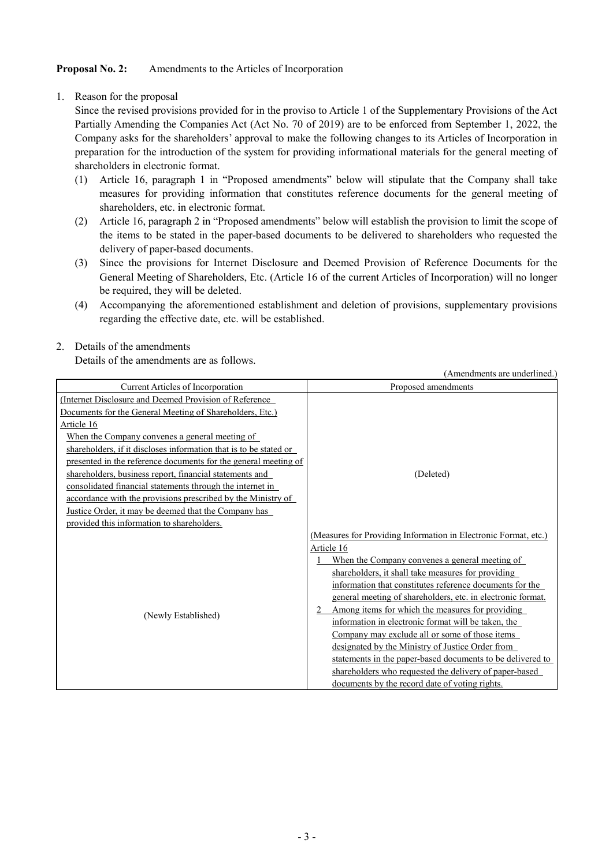### **Proposal No. 2:** Amendments to the Articles of Incorporation

1. Reason for the proposal

Since the revised provisions provided for in the proviso to Article 1 of the Supplementary Provisions of the Act Partially Amending the Companies Act (Act No. 70 of 2019) are to be enforced from September 1, 2022, the Company asks for the shareholders' approval to make the following changes to its Articles of Incorporation in preparation for the introduction of the system for providing informational materials for the general meeting of shareholders in electronic format.

- (1) Article 16, paragraph 1 in "Proposed amendments" below will stipulate that the Company shall take measures for providing information that constitutes reference documents for the general meeting of shareholders, etc. in electronic format.
- (2) Article 16, paragraph 2 in "Proposed amendments" below will establish the provision to limit the scope of the items to be stated in the paper-based documents to be delivered to shareholders who requested the delivery of paper-based documents.
- (3) Since the provisions for Internet Disclosure and Deemed Provision of Reference Documents for the General Meeting of Shareholders, Etc. (Article 16 of the current Articles of Incorporation) will no longer be required, they will be deleted.
- (4) Accompanying the aforementioned establishment and deletion of provisions, supplementary provisions regarding the effective date, etc. will be established.

 $(x - 1 - x - 1)$  and  $(x - 1)$ 

### 2. Details of the amendments

Details of the amendments are as follows.

| (Amendments are underlined.                                       |                                                                 |  |  |  |  |  |  |  |
|-------------------------------------------------------------------|-----------------------------------------------------------------|--|--|--|--|--|--|--|
| Current Articles of Incorporation                                 | Proposed amendments                                             |  |  |  |  |  |  |  |
| (Internet Disclosure and Deemed Provision of Reference)           |                                                                 |  |  |  |  |  |  |  |
| Documents for the General Meeting of Shareholders, Etc.)          |                                                                 |  |  |  |  |  |  |  |
| Article 16                                                        | (Deleted)                                                       |  |  |  |  |  |  |  |
| When the Company convenes a general meeting of                    |                                                                 |  |  |  |  |  |  |  |
| shareholders, if it discloses information that is to be stated or |                                                                 |  |  |  |  |  |  |  |
| presented in the reference documents for the general meeting of   |                                                                 |  |  |  |  |  |  |  |
| shareholders, business report, financial statements and           |                                                                 |  |  |  |  |  |  |  |
| consolidated financial statements through the internet in         |                                                                 |  |  |  |  |  |  |  |
| accordance with the provisions prescribed by the Ministry of      |                                                                 |  |  |  |  |  |  |  |
| Justice Order, it may be deemed that the Company has              |                                                                 |  |  |  |  |  |  |  |
| provided this information to shareholders.                        |                                                                 |  |  |  |  |  |  |  |
|                                                                   | (Measures for Providing Information in Electronic Format, etc.) |  |  |  |  |  |  |  |
|                                                                   | Article 16                                                      |  |  |  |  |  |  |  |
|                                                                   | When the Company convenes a general meeting of                  |  |  |  |  |  |  |  |
|                                                                   | shareholders, it shall take measures for providing              |  |  |  |  |  |  |  |
|                                                                   | information that constitutes reference documents for the        |  |  |  |  |  |  |  |
| (Newly Established)                                               | general meeting of shareholders, etc. in electronic format.     |  |  |  |  |  |  |  |
|                                                                   | Among items for which the measures for providing                |  |  |  |  |  |  |  |
|                                                                   | information in electronic format will be taken, the             |  |  |  |  |  |  |  |
|                                                                   | Company may exclude all or some of those items                  |  |  |  |  |  |  |  |
|                                                                   | designated by the Ministry of Justice Order from                |  |  |  |  |  |  |  |
|                                                                   | statements in the paper-based documents to be delivered to      |  |  |  |  |  |  |  |
|                                                                   | shareholders who requested the delivery of paper-based          |  |  |  |  |  |  |  |
|                                                                   | documents by the record date of voting rights.                  |  |  |  |  |  |  |  |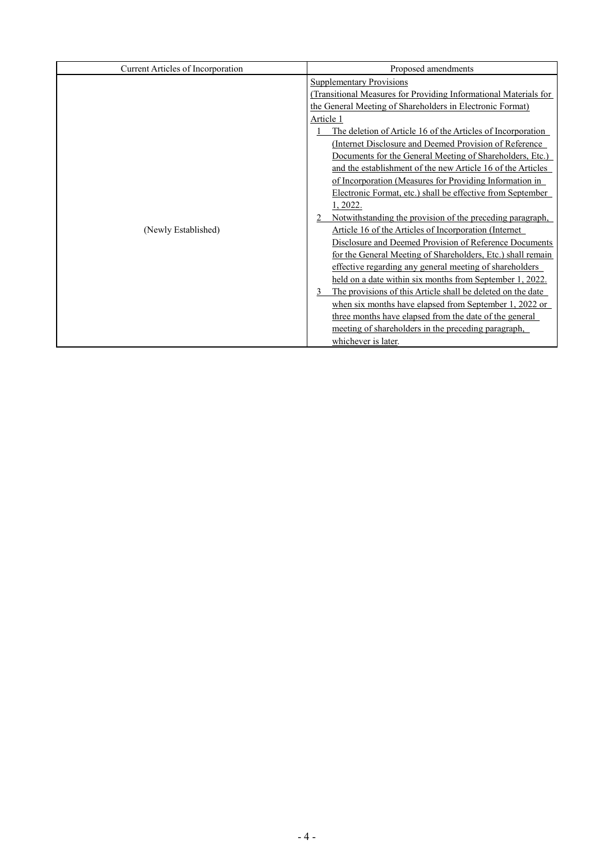| Current Articles of Incorporation | Proposed amendments                                                                                                                   |  |  |  |
|-----------------------------------|---------------------------------------------------------------------------------------------------------------------------------------|--|--|--|
|                                   | <b>Supplementary Provisions</b>                                                                                                       |  |  |  |
|                                   | (Transitional Measures for Providing Informational Materials for                                                                      |  |  |  |
|                                   | the General Meeting of Shareholders in Electronic Format)<br>Article 1<br>The deletion of Article 16 of the Articles of Incorporation |  |  |  |
|                                   |                                                                                                                                       |  |  |  |
|                                   |                                                                                                                                       |  |  |  |
|                                   | (Internet Disclosure and Deemed Provision of Reference)                                                                               |  |  |  |
|                                   | Documents for the General Meeting of Shareholders, Etc.)                                                                              |  |  |  |
|                                   | and the establishment of the new Article 16 of the Articles                                                                           |  |  |  |
|                                   | of Incorporation (Measures for Providing Information in                                                                               |  |  |  |
|                                   | Electronic Format, etc.) shall be effective from September                                                                            |  |  |  |
|                                   | 1, 2022.                                                                                                                              |  |  |  |
|                                   | Notwithstanding the provision of the preceding paragraph,                                                                             |  |  |  |
| (Newly Established)               | Article 16 of the Articles of Incorporation (Internet                                                                                 |  |  |  |
|                                   | Disclosure and Deemed Provision of Reference Documents                                                                                |  |  |  |
|                                   | for the General Meeting of Shareholders, Etc.) shall remain                                                                           |  |  |  |
|                                   | effective regarding any general meeting of shareholders                                                                               |  |  |  |
|                                   | held on a date within six months from September 1, 2022.                                                                              |  |  |  |
|                                   | The provisions of this Article shall be deleted on the date                                                                           |  |  |  |
|                                   | when six months have elapsed from September 1, 2022 or                                                                                |  |  |  |
|                                   | three months have elapsed from the date of the general                                                                                |  |  |  |
|                                   | meeting of shareholders in the preceding paragraph,                                                                                   |  |  |  |
|                                   | whichever is later.                                                                                                                   |  |  |  |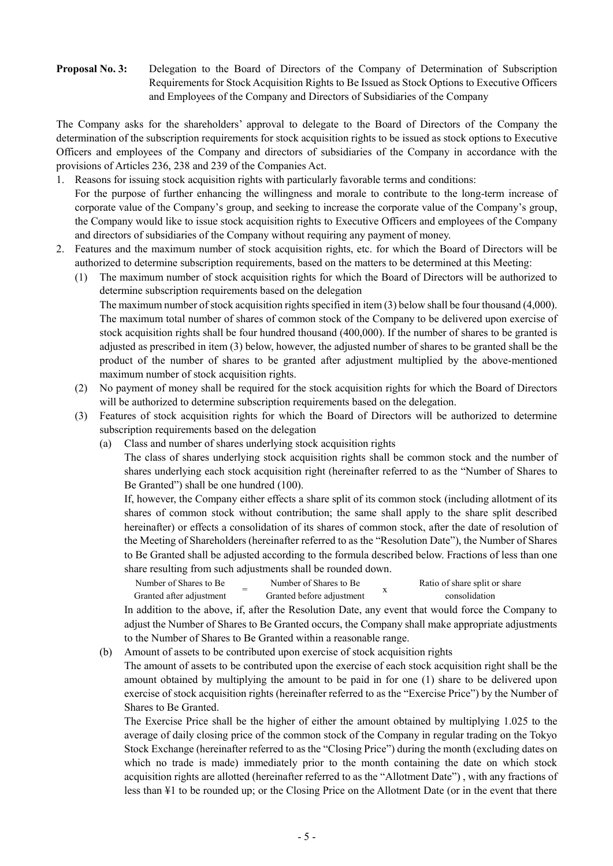### **Proposal No. 3:** Delegation to the Board of Directors of the Company of Determination of Subscription Requirements for Stock Acquisition Rights to Be Issued as Stock Options to Executive Officers and Employees of the Company and Directors of Subsidiaries of the Company

The Company asks for the shareholders' approval to delegate to the Board of Directors of the Company the determination of the subscription requirements for stock acquisition rights to be issued as stock options to Executive Officers and employees of the Company and directors of subsidiaries of the Company in accordance with the provisions of Articles 236, 238 and 239 of the Companies Act.

- 1. Reasons for issuing stock acquisition rights with particularly favorable terms and conditions: For the purpose of further enhancing the willingness and morale to contribute to the long-term increase of corporate value of the Company's group, and seeking to increase the corporate value of the Company's group, the Company would like to issue stock acquisition rights to Executive Officers and employees of the Company and directors of subsidiaries of the Company without requiring any payment of money.
- 2. Features and the maximum number of stock acquisition rights, etc. for which the Board of Directors will be authorized to determine subscription requirements, based on the matters to be determined at this Meeting:
	- (1) The maximum number of stock acquisition rights for which the Board of Directors will be authorized to determine subscription requirements based on the delegation The maximum number of stock acquisition rights specified in item (3) below shall be four thousand (4,000). The maximum total number of shares of common stock of the Company to be delivered upon exercise of stock acquisition rights shall be four hundred thousand (400,000). If the number of shares to be granted is adjusted as prescribed in item (3) below, however, the adjusted number of shares to be granted shall be the product of the number of shares to be granted after adjustment multiplied by the above-mentioned maximum number of stock acquisition rights.
	- (2) No payment of money shall be required for the stock acquisition rights for which the Board of Directors will be authorized to determine subscription requirements based on the delegation.
	- (3) Features of stock acquisition rights for which the Board of Directors will be authorized to determine subscription requirements based on the delegation
		- (a) Class and number of shares underlying stock acquisition rights

The class of shares underlying stock acquisition rights shall be common stock and the number of shares underlying each stock acquisition right (hereinafter referred to as the "Number of Shares to Be Granted") shall be one hundred (100).

If, however, the Company either effects a share split of its common stock (including allotment of its shares of common stock without contribution; the same shall apply to the share split described hereinafter) or effects a consolidation of its shares of common stock, after the date of resolution of the Meeting of Shareholders (hereinafter referred to as the "Resolution Date"), the Number of Shares to Be Granted shall be adjusted according to the formula described below. Fractions of less than one share resulting from such adjustments shall be rounded down.

Number of Shares to Be Granted after adjustment Number of Shares to Be Granted before adjustment  $\frac{X}{X}$ Ratio of share split or share consolidation

In addition to the above, if, after the Resolution Date, any event that would force the Company to adjust the Number of Shares to Be Granted occurs, the Company shall make appropriate adjustments to the Number of Shares to Be Granted within a reasonable range.

(b) Amount of assets to be contributed upon exercise of stock acquisition rights

The amount of assets to be contributed upon the exercise of each stock acquisition right shall be the amount obtained by multiplying the amount to be paid in for one (1) share to be delivered upon exercise of stock acquisition rights (hereinafter referred to as the "Exercise Price") by the Number of Shares to Be Granted.

The Exercise Price shall be the higher of either the amount obtained by multiplying 1.025 to the average of daily closing price of the common stock of the Company in regular trading on the Tokyo Stock Exchange (hereinafter referred to as the "Closing Price") during the month (excluding dates on which no trade is made) immediately prior to the month containing the date on which stock acquisition rights are allotted (hereinafter referred to as the "Allotment Date") , with any fractions of less than ¥1 to be rounded up; or the Closing Price on the Allotment Date (or in the event that there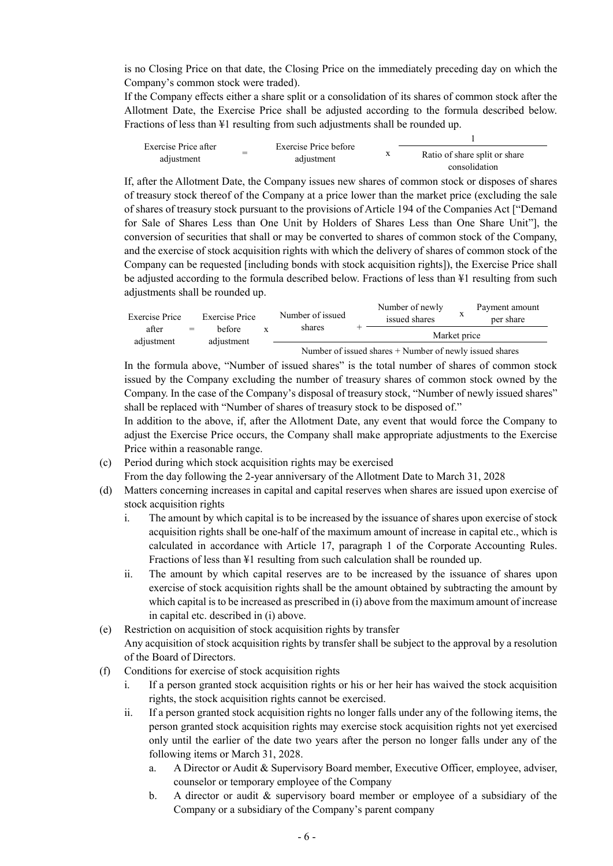is no Closing Price on that date, the Closing Price on the immediately preceding day on which the Company's common stock were traded).

If the Company effects either a share split or a consolidation of its shares of common stock after the Allotment Date, the Exercise Price shall be adjusted according to the formula described below. Fractions of less than ¥1 resulting from such adjustments shall be rounded up.

Exercise Price after adjustment <sup>=</sup> Exercise Price before adjustment <sup>x</sup> 1 Ratio of share split or share consolidation

If, after the Allotment Date, the Company issues new shares of common stock or disposes of shares of treasury stock thereof of the Company at a price lower than the market price (excluding the sale of shares of treasury stock pursuant to the provisions of Article 194 of the Companies Act ["Demand for Sale of Shares Less than One Unit by Holders of Shares Less than One Share Unit"], the conversion of securities that shall or may be converted to shares of common stock of the Company, and the exercise of stock acquisition rights with which the delivery of shares of common stock of the Company can be requested [including bonds with stock acquisition rights]), the Exercise Price shall be adjusted according to the formula described below. Fractions of less than ¥1 resulting from such adjustments shall be rounded up.

| Exercise Price      |     | <b>Exercise Price</b> |  | Number of issued | Number of newly<br>issued shares |  | Payment amount<br>per share |
|---------------------|-----|-----------------------|--|------------------|----------------------------------|--|-----------------------------|
| after<br>adjustment | $=$ | hefore<br>adjustment  |  | shares           | Market price                     |  |                             |
|                     |     |                       |  |                  |                                  |  |                             |

Number of issued shares + Number of newly issued shares

In the formula above, "Number of issued shares" is the total number of shares of common stock issued by the Company excluding the number of treasury shares of common stock owned by the Company. In the case of the Company's disposal of treasury stock, "Number of newly issued shares" shall be replaced with "Number of shares of treasury stock to be disposed of."

In addition to the above, if, after the Allotment Date, any event that would force the Company to adjust the Exercise Price occurs, the Company shall make appropriate adjustments to the Exercise Price within a reasonable range.

(c) Period during which stock acquisition rights may be exercised

From the day following the 2-year anniversary of the Allotment Date to March 31, 2028

- (d) Matters concerning increases in capital and capital reserves when shares are issued upon exercise of stock acquisition rights
	- i. The amount by which capital is to be increased by the issuance of shares upon exercise of stock acquisition rights shall be one-half of the maximum amount of increase in capital etc., which is calculated in accordance with Article 17, paragraph 1 of the Corporate Accounting Rules. Fractions of less than ¥1 resulting from such calculation shall be rounded up.
	- ii. The amount by which capital reserves are to be increased by the issuance of shares upon exercise of stock acquisition rights shall be the amount obtained by subtracting the amount by which capital is to be increased as prescribed in (i) above from the maximum amount of increase in capital etc. described in (i) above.
- (e) Restriction on acquisition of stock acquisition rights by transfer Any acquisition of stock acquisition rights by transfer shall be subject to the approval by a resolution of the Board of Directors.
- (f) Conditions for exercise of stock acquisition rights
	- i. If a person granted stock acquisition rights or his or her heir has waived the stock acquisition rights, the stock acquisition rights cannot be exercised.
	- ii. If a person granted stock acquisition rights no longer falls under any of the following items, the person granted stock acquisition rights may exercise stock acquisition rights not yet exercised only until the earlier of the date two years after the person no longer falls under any of the following items or March 31, 2028.
		- a. A Director or Audit & Supervisory Board member, Executive Officer, employee, adviser, counselor or temporary employee of the Company
		- b. A director or audit & supervisory board member or employee of a subsidiary of the Company or a subsidiary of the Company's parent company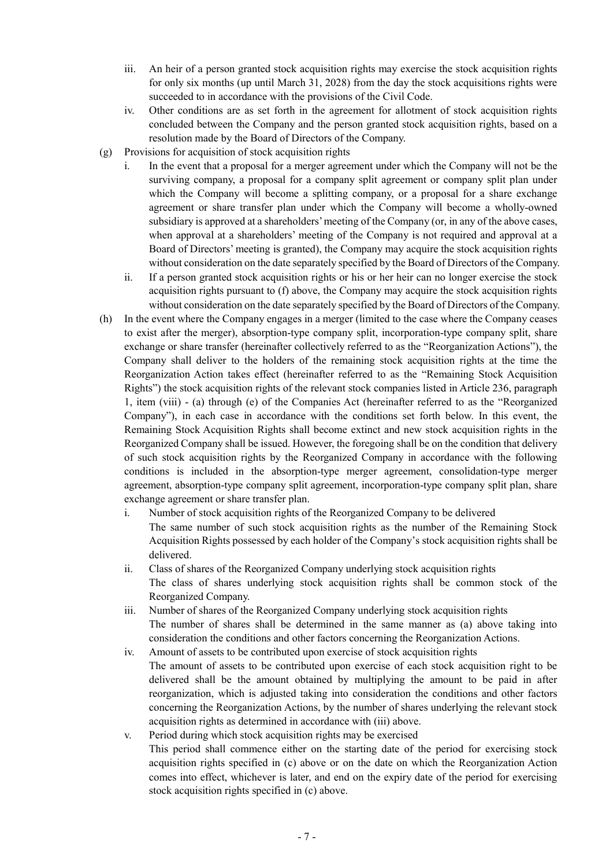- iii. An heir of a person granted stock acquisition rights may exercise the stock acquisition rights for only six months (up until March 31, 2028) from the day the stock acquisitions rights were succeeded to in accordance with the provisions of the Civil Code.
- iv. Other conditions are as set forth in the agreement for allotment of stock acquisition rights concluded between the Company and the person granted stock acquisition rights, based on a resolution made by the Board of Directors of the Company.
- (g) Provisions for acquisition of stock acquisition rights
	- i. In the event that a proposal for a merger agreement under which the Company will not be the surviving company, a proposal for a company split agreement or company split plan under which the Company will become a splitting company, or a proposal for a share exchange agreement or share transfer plan under which the Company will become a wholly-owned subsidiary is approved at a shareholders' meeting of the Company (or, in any of the above cases, when approval at a shareholders' meeting of the Company is not required and approval at a Board of Directors' meeting is granted), the Company may acquire the stock acquisition rights without consideration on the date separately specified by the Board of Directors of the Company.
	- ii. If a person granted stock acquisition rights or his or her heir can no longer exercise the stock acquisition rights pursuant to (f) above, the Company may acquire the stock acquisition rights without consideration on the date separately specified by the Board of Directors of the Company.
- (h) In the event where the Company engages in a merger (limited to the case where the Company ceases to exist after the merger), absorption-type company split, incorporation-type company split, share exchange or share transfer (hereinafter collectively referred to as the "Reorganization Actions"), the Company shall deliver to the holders of the remaining stock acquisition rights at the time the Reorganization Action takes effect (hereinafter referred to as the "Remaining Stock Acquisition Rights") the stock acquisition rights of the relevant stock companies listed in Article 236, paragraph 1, item (viii) - (a) through (e) of the Companies Act (hereinafter referred to as the "Reorganized Company"), in each case in accordance with the conditions set forth below. In this event, the Remaining Stock Acquisition Rights shall become extinct and new stock acquisition rights in the Reorganized Company shall be issued. However, the foregoing shall be on the condition that delivery of such stock acquisition rights by the Reorganized Company in accordance with the following conditions is included in the absorption-type merger agreement, consolidation-type merger agreement, absorption-type company split agreement, incorporation-type company split plan, share exchange agreement or share transfer plan.
	- i. Number of stock acquisition rights of the Reorganized Company to be delivered The same number of such stock acquisition rights as the number of the Remaining Stock Acquisition Rights possessed by each holder of the Company's stock acquisition rights shall be delivered.
	- ii. Class of shares of the Reorganized Company underlying stock acquisition rights The class of shares underlying stock acquisition rights shall be common stock of the Reorganized Company.
	- iii. Number of shares of the Reorganized Company underlying stock acquisition rights The number of shares shall be determined in the same manner as (a) above taking into consideration the conditions and other factors concerning the Reorganization Actions.
	- iv. Amount of assets to be contributed upon exercise of stock acquisition rights The amount of assets to be contributed upon exercise of each stock acquisition right to be delivered shall be the amount obtained by multiplying the amount to be paid in after reorganization, which is adjusted taking into consideration the conditions and other factors concerning the Reorganization Actions, by the number of shares underlying the relevant stock acquisition rights as determined in accordance with (iii) above.
	- v. Period during which stock acquisition rights may be exercised This period shall commence either on the starting date of the period for exercising stock acquisition rights specified in (c) above or on the date on which the Reorganization Action comes into effect, whichever is later, and end on the expiry date of the period for exercising stock acquisition rights specified in (c) above.